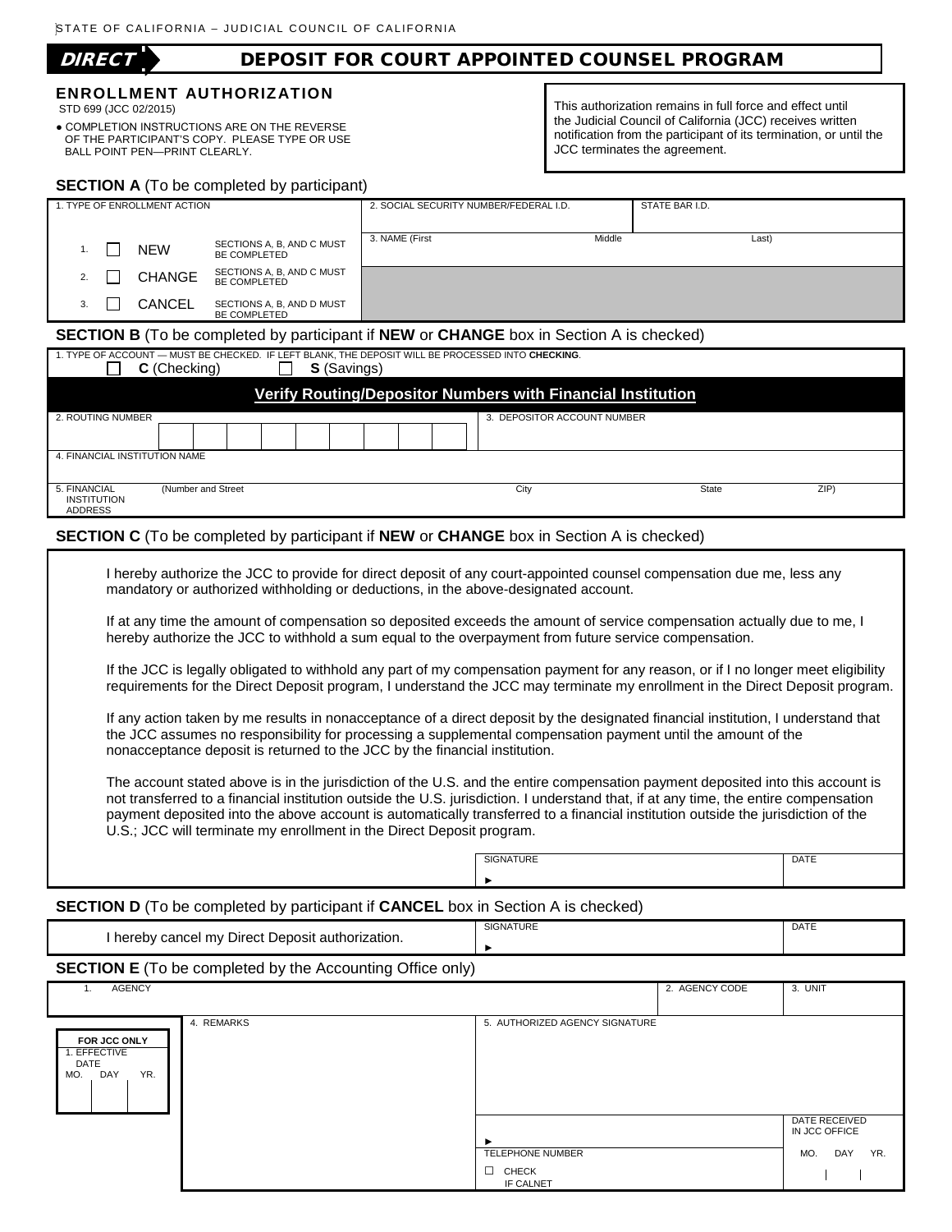# DIRECT DEPOSIT FOR COURT APPOINTED COUNSEL PROGRAM

### **ENROLLMENT AUTHORIZATION**

STD 699 (JCC 02/2015)

● COMPLETION INSTRUCTIONS ARE ON THE REVERSE OF THE PARTICIPANT'S COPY. PLEASE TYPE OR USE BALL POINT PEN—PRINT CLEARLY.

This authorization remains in full force and effect until the Judicial Council of California (JCC) receives written notification from the participant of its termination, or until the JCC terminates the agreement.

| <b>SECTION A</b> (To be completed by participant) |    |  |               |                                           |                                        |        |                |  |
|---------------------------------------------------|----|--|---------------|-------------------------------------------|----------------------------------------|--------|----------------|--|
| 1. TYPE OF ENROLLMENT ACTION                      |    |  |               |                                           | 2. SOCIAL SECURITY NUMBER/FEDERAL I.D. |        | STATE BAR I.D. |  |
|                                                   |    |  | <b>NEW</b>    | SECTIONS A, B, AND C MUST<br>BE COMPLETED | 3. NAME (First                         | Middle | Last)          |  |
|                                                   |    |  | <b>CHANGE</b> | SECTIONS A, B, AND C MUST<br>BE COMPLETED |                                        |        |                |  |
|                                                   | 3. |  | <b>CANCEL</b> | SECTIONS A, B, AND D MUST<br>BE COMPLETED |                                        |        |                |  |

#### **SECTION B** (To be completed by participant if **NEW** or **CHANGE** box in Section A is checked)

| 1. TYPE OF ACCOUNT — MUST BE CHECKED. IF LEFT BLANK, THE DEPOSIT WILL BE PROCESSED INTO CHECKING.<br>C (Checking)<br><b>S</b> (Savings) |                     |  |  |  |  |  |  |  |  |      |              |     |
|-----------------------------------------------------------------------------------------------------------------------------------------|---------------------|--|--|--|--|--|--|--|--|------|--------------|-----|
| Verify Routing/Depositor Numbers with Financial Institution                                                                             |                     |  |  |  |  |  |  |  |  |      |              |     |
| 2. ROUTING NUMBER<br>3. DEPOSITOR ACCOUNT NUMBER                                                                                        |                     |  |  |  |  |  |  |  |  |      |              |     |
|                                                                                                                                         |                     |  |  |  |  |  |  |  |  |      |              |     |
| 4. FINANCIAL INSTITUTION NAME                                                                                                           |                     |  |  |  |  |  |  |  |  |      |              |     |
| 5. FINANCIAL<br><b>INSTITUTION</b><br><b>ADDRESS</b>                                                                                    | (Number and Street) |  |  |  |  |  |  |  |  | City | <b>State</b> | ZIP |

#### **SECTION C** (To be completed by participant if **NEW** or **CHANGE** box in Section A is checked)

| I hereby authorize the JCC to provide for direct deposit of any court-appointed counsel compensation due me, less any |  |
|-----------------------------------------------------------------------------------------------------------------------|--|
| mandatory or authorized withholding or deductions, in the above-designated account.                                   |  |

If at any time the amount of compensation so deposited exceeds the amount of service compensation actually due to me, I hereby authorize the JCC to withhold a sum equal to the overpayment from future service compensation.

If the JCC is legally obligated to withhold any part of my compensation payment for any reason, or if I no longer meet eligibility requirements for the Direct Deposit program, I understand the JCC may terminate my enrollment in the Direct Deposit program.

If any action taken by me results in nonacceptance of a direct deposit by the designated financial institution, I understand that the JCC assumes no responsibility for processing a supplemental compensation payment until the amount of the nonacceptance deposit is returned to the JCC by the financial institution.

The account stated above is in the jurisdiction of the U.S. and the entire compensation payment deposited into this account is not transferred to a financial institution outside the U.S. jurisdiction. I understand that, if at any time, the entire compensation payment deposited into the above account is automatically transferred to a financial institution outside the jurisdiction of the U.S.; JCC will terminate my enrollment in the Direct Deposit program.

| <b>ATURE</b><br>. | DATE<br>$ -$ |
|-------------------|--------------|
|                   |              |
|                   |              |

#### **SECTION D** (To be completed by participant if **CANCEL** box in Section A is checked)

| l hereby cancel my Direct Deposit authorization.                 | <b>SIGNATURE</b> | DATE |  |  |  |  |  |  |
|------------------------------------------------------------------|------------------|------|--|--|--|--|--|--|
| <b>SECTION E</b> (To be completed by the Accounting Office only) |                  |      |  |  |  |  |  |  |

| <b>AGENCY</b>                                             |            |                                     | 2. AGENCY CODE | 3. UNIT                        |
|-----------------------------------------------------------|------------|-------------------------------------|----------------|--------------------------------|
| FOR JCC ONLY<br>1. EFFECTIVE<br>DATE<br>DAY<br>YR.<br>MO. | 4. REMARKS | 5. AUTHORIZED AGENCY SIGNATURE      |                |                                |
|                                                           |            |                                     |                |                                |
|                                                           |            |                                     |                | DATE RECEIVED<br>IN JCC OFFICE |
|                                                           |            | TELEPHONE NUMBER<br>$\Box$<br>CHECK |                | MO.<br>DAY<br>YR.              |
|                                                           |            | IF CALNET                           |                |                                |